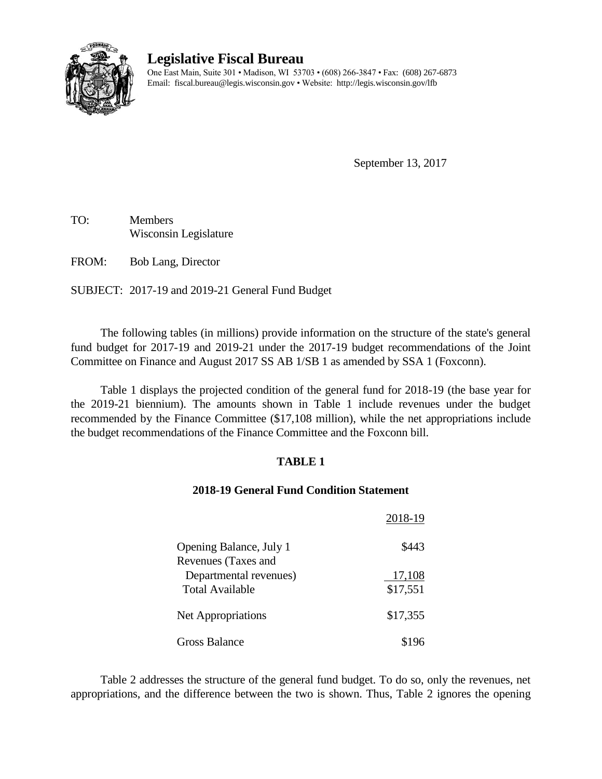

# **Legislative Fiscal Bureau**

One East Main, Suite 301 • Madison, WI 53703 • (608) 266-3847 • Fax: (608) 267-6873 Email: fiscal.bureau@legis.wisconsin.gov • Website:<http://legis.wisconsin.gov/lfb>

September 13, 2017

TO: Members Wisconsin Legislature

FROM: Bob Lang, Director

SUBJECT: 2017-19 and 2019-21 General Fund Budget

The following tables (in millions) provide information on the structure of the state's general fund budget for 2017-19 and 2019-21 under the 2017-19 budget recommendations of the Joint Committee on Finance and August 2017 SS AB 1/SB 1 as amended by SSA 1 (Foxconn).

Table 1 displays the projected condition of the general fund for 2018-19 (the base year for the 2019-21 biennium). The amounts shown in Table 1 include revenues under the budget recommended by the Finance Committee (\$17,108 million), while the net appropriations include the budget recommendations of the Finance Committee and the Foxconn bill.

### **TABLE 1**

### **2018-19 General Fund Condition Statement**

|                                                                  | 2018-19            |
|------------------------------------------------------------------|--------------------|
| Opening Balance, July 1                                          | \$443              |
| Revenues (Taxes and<br>Departmental revenues)<br>Total Available | 17,108<br>\$17,551 |
| Net Appropriations                                               | \$17,355           |
| Gross Balance                                                    | \$196              |

Table 2 addresses the structure of the general fund budget. To do so, only the revenues, net appropriations, and the difference between the two is shown. Thus, Table 2 ignores the opening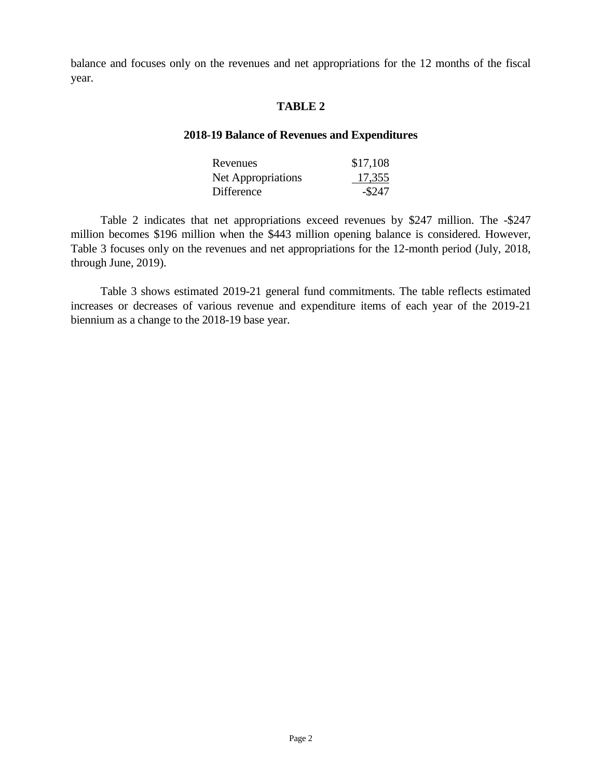balance and focuses only on the revenues and net appropriations for the 12 months of the fiscal year.

#### **TABLE 2**

### **2018-19 Balance of Revenues and Expenditures**

| Revenues           | \$17,108  |  |
|--------------------|-----------|--|
| Net Appropriations | 17,355    |  |
| Difference         | $-$ \$247 |  |

Table 2 indicates that net appropriations exceed revenues by \$247 million. The -\$247 million becomes \$196 million when the \$443 million opening balance is considered. However, Table 3 focuses only on the revenues and net appropriations for the 12-month period (July, 2018, through June, 2019).

Table 3 shows estimated 2019-21 general fund commitments. The table reflects estimated increases or decreases of various revenue and expenditure items of each year of the 2019-21 biennium as a change to the 2018-19 base year.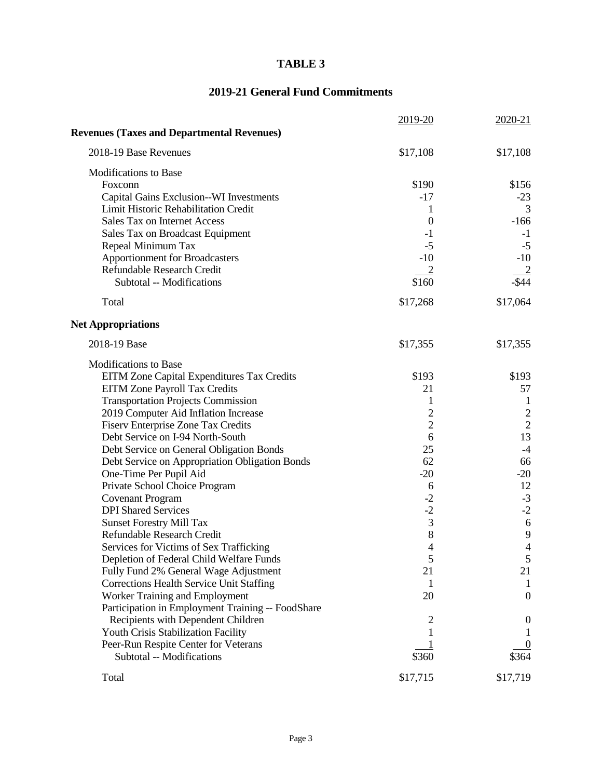### **TABLE 3**

## **2019-21 General Fund Commitments**

|                                                                   | 2019-20          | 2020-21        |
|-------------------------------------------------------------------|------------------|----------------|
| <b>Revenues (Taxes and Departmental Revenues)</b>                 |                  |                |
| 2018-19 Base Revenues                                             | \$17,108         | \$17,108       |
| Modifications to Base                                             |                  |                |
| Foxconn                                                           | \$190            | \$156          |
| Capital Gains Exclusion--WI Investments                           | $-17$            | $-23$          |
| Limit Historic Rehabilitation Credit                              | 1                | 3              |
| Sales Tax on Internet Access                                      | $\boldsymbol{0}$ | $-166$         |
| Sales Tax on Broadcast Equipment                                  | $-1$             | $-1$           |
| Repeal Minimum Tax                                                | $-5$             | $-5$           |
| <b>Apportionment for Broadcasters</b>                             | $-10$            | $-10$          |
| Refundable Research Credit                                        |                  |                |
| Subtotal -- Modifications                                         | \$160            | $-$ \$44       |
| Total                                                             | \$17,268         | \$17,064       |
| <b>Net Appropriations</b>                                         |                  |                |
| 2018-19 Base                                                      | \$17,355         | \$17,355       |
| <b>Modifications to Base</b>                                      |                  |                |
| EITM Zone Capital Expenditures Tax Credits                        | \$193            | \$193          |
| EITM Zone Payroll Tax Credits                                     | 21               | 57             |
| <b>Transportation Projects Commission</b>                         | 1                | $\mathbf{1}$   |
| 2019 Computer Aid Inflation Increase                              | $\overline{c}$   | $\frac{2}{2}$  |
| <b>Fiserv Enterprise Zone Tax Credits</b>                         | $\overline{2}$   |                |
| Debt Service on I-94 North-South                                  | 6                | 13             |
| Debt Service on General Obligation Bonds                          | 25               | $-4$           |
| Debt Service on Appropriation Obligation Bonds                    | 62               | 66             |
| One-Time Per Pupil Aid                                            | $-20$            | $-20$          |
| Private School Choice Program                                     | 6                | 12             |
| <b>Covenant Program</b>                                           | $-2$             | $-3$           |
| <b>DPI</b> Shared Services                                        | $-2$             | $-2$           |
| <b>Sunset Forestry Mill Tax</b>                                   | 3                | 6              |
| Refundable Research Credit                                        | 8                | 9              |
| Services for Victims of Sex Trafficking                           | $\overline{4}$   | $\overline{4}$ |
| Depletion of Federal Child Welfare Funds                          | 5                | 5              |
| Fully Fund 2% General Wage Adjustment                             | 21               | 21             |
| <b>Corrections Health Service Unit Staffing</b>                   | 1                |                |
| Worker Training and Employment                                    | 20               | $\overline{0}$ |
| Participation in Employment Training -- FoodShare                 |                  |                |
| Recipients with Dependent Children                                | 2                | O              |
| Youth Crisis Stabilization Facility                               |                  |                |
| Peer-Run Respite Center for Veterans<br>Subtotal -- Modifications | \$360            | \$364          |
|                                                                   |                  |                |
| Total                                                             | \$17,715         | \$17,719       |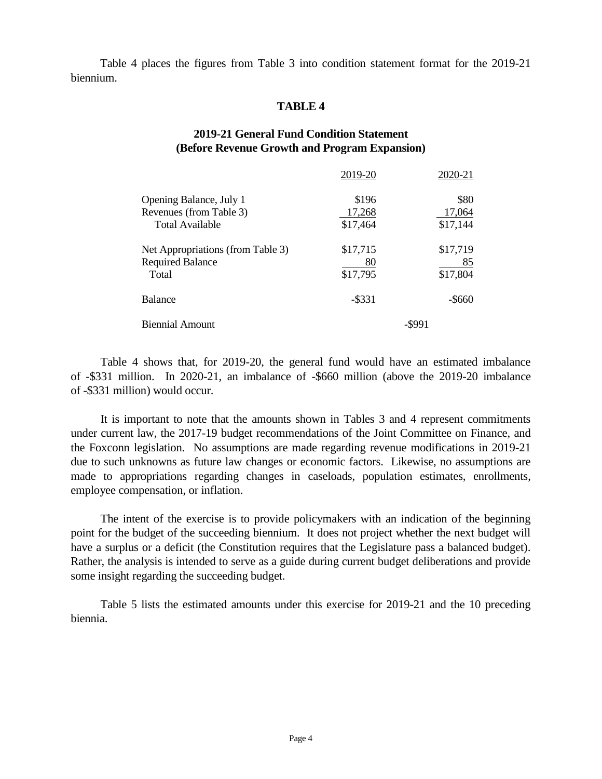Table 4 places the figures from Table 3 into condition statement format for the 2019-21 biennium.

### **TABLE 4**

### **2019-21 General Fund Condition Statement (Before Revenue Growth and Program Expansion)**

|                                   | 2019-20   | 2020-21   |
|-----------------------------------|-----------|-----------|
| Opening Balance, July 1           | \$196     | \$80      |
| Revenues (from Table 3)           | 17,268    | 17,064    |
| Total Available                   | \$17,464  | \$17,144  |
| Net Appropriations (from Table 3) | \$17,715  | \$17,719  |
| <b>Required Balance</b>           | 80        | 85        |
| Total                             | \$17,795  | \$17,804  |
| <b>Balance</b>                    | $-$ \$331 | $-$ \$660 |
| <b>Biennial Amount</b>            |           | -\$991    |

Table 4 shows that, for 2019-20, the general fund would have an estimated imbalance of -\$331 million. In 2020-21, an imbalance of -\$660 million (above the 2019-20 imbalance of -\$331 million) would occur.

It is important to note that the amounts shown in Tables 3 and 4 represent commitments under current law, the 2017-19 budget recommendations of the Joint Committee on Finance, and the Foxconn legislation. No assumptions are made regarding revenue modifications in 2019-21 due to such unknowns as future law changes or economic factors. Likewise, no assumptions are made to appropriations regarding changes in caseloads, population estimates, enrollments, employee compensation, or inflation.

The intent of the exercise is to provide policymakers with an indication of the beginning point for the budget of the succeeding biennium. It does not project whether the next budget will have a surplus or a deficit (the Constitution requires that the Legislature pass a balanced budget). Rather, the analysis is intended to serve as a guide during current budget deliberations and provide some insight regarding the succeeding budget.

Table 5 lists the estimated amounts under this exercise for 2019-21 and the 10 preceding biennia.